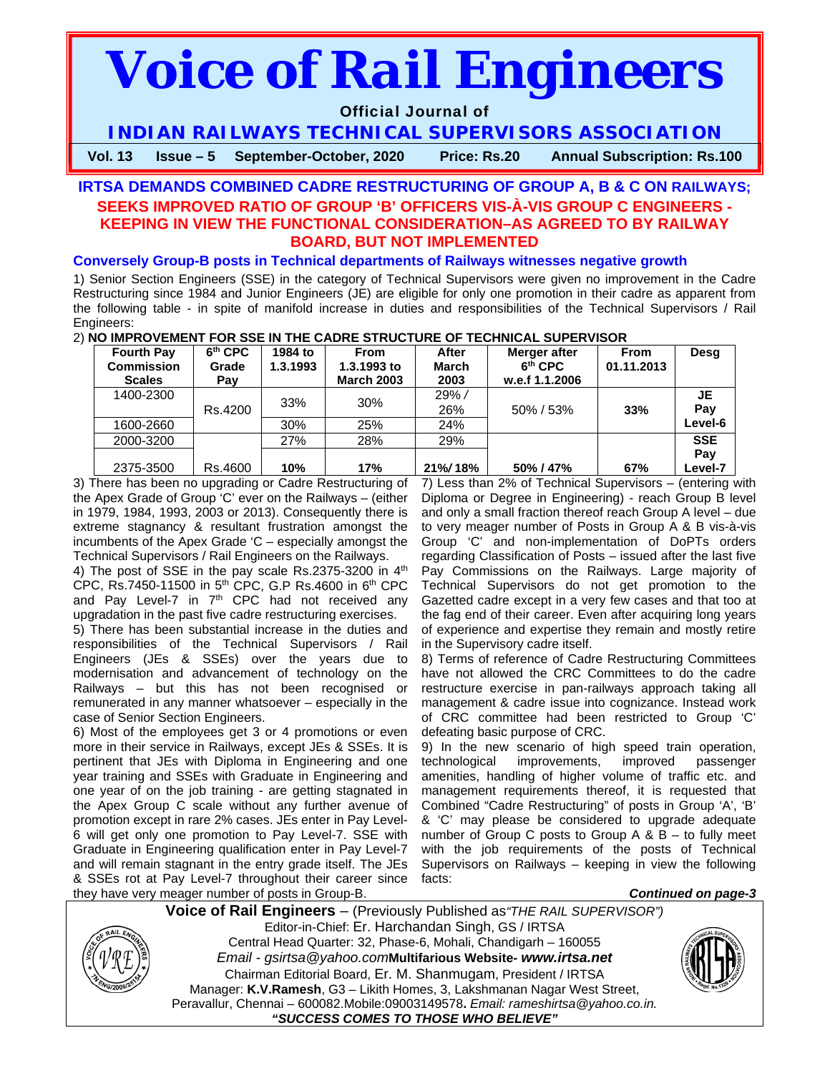# *Voice of Rail Engineers*

# Official Journal of

**INDIAN RAILWAYS TECHNICAL SUPERVISORS ASSOCIATION** 

**Vol. 13 Issue – 5 September-October, 2020 Price: Rs.20 Annual Subscription: Rs.100**

# **IRTSA DEMANDS COMBINED CADRE RESTRUCTURING OF GROUP A, B & C ON RAILWAYS; SEEKS IMPROVED RATIO OF GROUP 'B' OFFICERS VIS-À-VIS GROUP C ENGINEERS - KEEPING IN VIEW THE FUNCTIONAL CONSIDERATION–AS AGREED TO BY RAILWAY BOARD, BUT NOT IMPLEMENTED**

# **Conversely Group-B posts in Technical departments of Railways witnesses negative growth**

1) Senior Section Engineers (SSE) in the category of Technical Supervisors were given no improvement in the Cadre Restructuring since 1984 and Junior Engineers (JE) are eligible for only one promotion in their cadre as apparent from the following table - in spite of manifold increase in duties and responsibilities of the Technical Supervisors / Rail Engineers:

|  |  | 2) NO IMPROVEMENT FOR SSE IN THE CADRE STRUCTURE OF TECHNICAL SUPERVISOR |  |
|--|--|--------------------------------------------------------------------------|--|
|  |  |                                                                          |  |
|  |  |                                                                          |  |
|  |  |                                                                          |  |

| <b>Fourth Pay</b>                  | $6th$ CPC    | 1984 to  | <b>From</b>                      | After                | Merger after                          | <b>From</b> | Desg       |
|------------------------------------|--------------|----------|----------------------------------|----------------------|---------------------------------------|-------------|------------|
| <b>Commission</b><br><b>Scales</b> | Grade<br>Pay | 1.3.1993 | 1.3.1993 to<br><b>March 2003</b> | <b>March</b><br>2003 | 6 <sup>th</sup> CPC<br>w.e.f 1.1.2006 | 01.11.2013  |            |
|                                    |              |          |                                  |                      |                                       |             |            |
| 1400-2300                          |              | 33%      | 30%                              | 29% /                |                                       |             | JE         |
|                                    | Rs.4200      |          |                                  | 26%                  | 50%/53%                               | 33%         | Pay        |
| 1600-2660                          |              | 30%      | 25%                              | 24%                  |                                       |             | Level-6    |
| 2000-3200                          |              | 27%      | 28%                              | 29%                  |                                       |             | <b>SSE</b> |
|                                    |              |          |                                  |                      |                                       |             | Pay        |
| 2375-3500                          | Rs.4600      | 10%      | 17%                              | 21%/18%              | 50% / 47%                             | 67%         | Level-7    |

3) There has been no upgrading or Cadre Restructuring of the Apex Grade of Group 'C' ever on the Railways – (either in 1979, 1984, 1993, 2003 or 2013). Consequently there is extreme stagnancy & resultant frustration amongst the incumbents of the Apex Grade 'C – especially amongst the Technical Supervisors / Rail Engineers on the Railways.

4) The post of SSE in the pay scale Rs.2375-3200 in 4<sup>th</sup> CPC, Rs.7450-11500 in  $5<sup>th</sup>$  CPC, G.P Rs.4600 in  $6<sup>th</sup>$  CPC and Pay Level-7 in  $7<sup>th</sup>$  CPC had not received any upgradation in the past five cadre restructuring exercises.

5) There has been substantial increase in the duties and responsibilities of the Technical Supervisors / Rail Engineers (JEs & SSEs) over the years due to modernisation and advancement of technology on the Railways – but this has not been recognised or remunerated in any manner whatsoever – especially in the case of Senior Section Engineers.

6) Most of the employees get 3 or 4 promotions or even more in their service in Railways, except JEs & SSEs. It is pertinent that JEs with Diploma in Engineering and one year training and SSEs with Graduate in Engineering and one year of on the job training - are getting stagnated in the Apex Group C scale without any further avenue of promotion except in rare 2% cases. JEs enter in Pay Level-6 will get only one promotion to Pay Level-7. SSE with Graduate in Engineering qualification enter in Pay Level-7 and will remain stagnant in the entry grade itself. The JEs & SSEs rot at Pay Level-7 throughout their career since they have very meager number of posts in Group-B.

7) Less than 2% of Technical Supervisors – (entering with Diploma or Degree in Engineering) - reach Group B level and only a small fraction thereof reach Group A level – due to very meager number of Posts in Group A & B vis-à-vis Group 'C' and non-implementation of DoPTs orders regarding Classification of Posts – issued after the last five Pay Commissions on the Railways. Large majority of Technical Supervisors do not get promotion to the Gazetted cadre except in a very few cases and that too at the fag end of their career. Even after acquiring long years of experience and expertise they remain and mostly retire in the Supervisory cadre itself.

8) Terms of reference of Cadre Restructuring Committees have not allowed the CRC Committees to do the cadre restructure exercise in pan-railways approach taking all management & cadre issue into cognizance. Instead work of CRC committee had been restricted to Group 'C' defeating basic purpose of CRC.

9) In the new scenario of high speed train operation, technological improvements, improved passenger amenities, handling of higher volume of traffic etc. and management requirements thereof, it is requested that Combined "Cadre Restructuring" of posts in Group 'A', 'B' & 'C' may please be considered to upgrade adequate number of Group C posts to Group A & B – to fully meet with the job requirements of the posts of Technical Supervisors on Railways – keeping in view the following facts:



**Voice of Rail Engineers** – (Previously Published as*"THE RAIL SUPERVISOR")* Editor-in-Chief: Er. Harchandan Singh, GS / IRTSA Central Head Quarter: 32, Phase-6, Mohali, Chandigarh – 160055 *Email - gsirtsa@yahoo.com***Multifarious Website-** *www.irtsa.net* Chairman Editorial Board, Er. M. Shanmugam, President / IRTSA Manager: **K.V.Ramesh**, G3 – Likith Homes, 3, Lakshmanan Nagar West Street, Peravallur, Chennai – 600082.Mobile:09003149578**.** *Email: rameshirtsa@yahoo.co.in. "SUCCESS COMES TO THOSE WHO BELIEVE"*



*Continued on page-3*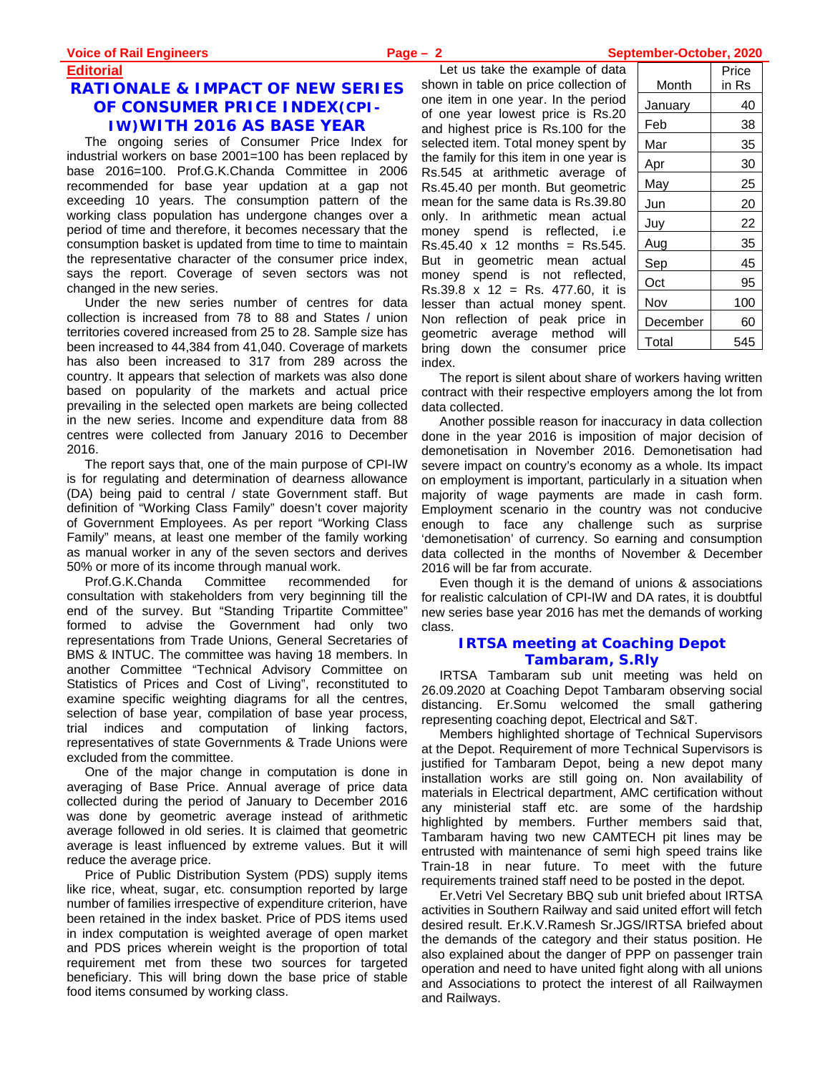# **Editorial RATIONALE & IMPACT OF NEW SERIES OF CONSUMER PRICE INDEX(CPI-IW)WITH 2016 AS BASE YEAR**

The ongoing series of Consumer Price Index for industrial workers on base 2001=100 has been replaced by base 2016=100. Prof.G.K.Chanda Committee in 2006 recommended for base year updation at a gap not exceeding 10 years. The consumption pattern of the working class population has undergone changes over a period of time and therefore, it becomes necessary that the consumption basket is updated from time to time to maintain the representative character of the consumer price index, says the report. Coverage of seven sectors was not changed in the new series.

Under the new series number of centres for data collection is increased from 78 to 88 and States / union territories covered increased from 25 to 28. Sample size has been increased to 44,384 from 41,040. Coverage of markets has also been increased to 317 from 289 across the country. It appears that selection of markets was also done based on popularity of the markets and actual price prevailing in the selected open markets are being collected in the new series. Income and expenditure data from 88 centres were collected from January 2016 to December 2016.

The report says that, one of the main purpose of CPI-IW is for regulating and determination of dearness allowance (DA) being paid to central / state Government staff. But definition of "Working Class Family" doesn't cover majority of Government Employees. As per report "Working Class Family" means, at least one member of the family working as manual worker in any of the seven sectors and derives 50% or more of its income through manual work.

Prof.G.K.Chanda Committee recommended for consultation with stakeholders from very beginning till the end of the survey. But "Standing Tripartite Committee" formed to advise the Government had only two representations from Trade Unions, General Secretaries of BMS & INTUC. The committee was having 18 members. In another Committee "Technical Advisory Committee on Statistics of Prices and Cost of Living", reconstituted to examine specific weighting diagrams for all the centres, selection of base year, compilation of base year process, trial indices and computation of linking factors, representatives of state Governments & Trade Unions were excluded from the committee.

One of the major change in computation is done in averaging of Base Price. Annual average of price data collected during the period of January to December 2016 was done by geometric average instead of arithmetic average followed in old series. It is claimed that geometric average is least influenced by extreme values. But it will reduce the average price.

Price of Public Distribution System (PDS) supply items like rice, wheat, sugar, etc. consumption reported by large number of families irrespective of expenditure criterion, have been retained in the index basket. Price of PDS items used in index computation is weighted average of open market and PDS prices wherein weight is the proportion of total requirement met from these two sources for targeted beneficiary. This will bring down the base price of stable food items consumed by working class.

Let us take the example of data shown in table on price collection of one item in one year. In the period of one year lowest price is Rs.20 and highest price is Rs.100 for the selected item. Total money spent by the family for this item in one year is Rs.545 at arithmetic average of Rs.45.40 per month. But geometric mean for the same data is Rs.39.80 only. In arithmetic mean actual money spend is reflected, i.e  $Rs.45.40 \times 12$  months =  $Rs.545$ . But in geometric mean actual money spend is not reflected, Rs.39.8 x 12 = Rs. 477.60, it is lesser than actual money spent. Non reflection of peak price in geometric average method will bring down the consumer price index.

| Month    | Price<br>in Rs |
|----------|----------------|
| January  | 40             |
| Feb      | 38             |
| Mar      | 35             |
| Apr      | 30             |
| May      | 25             |
| Jun      | 20             |
| Juy      | 22             |
| Aug      | 35             |
| Sep      | 45             |
| Oct      | 95             |
| Nov      | 100            |
| December | 60             |
| Total    | 545            |

The report is silent about share of workers having written contract with their respective employers among the lot from data collected.

Another possible reason for inaccuracy in data collection done in the year 2016 is imposition of major decision of demonetisation in November 2016. Demonetisation had severe impact on country's economy as a whole. Its impact on employment is important, particularly in a situation when majority of wage payments are made in cash form. Employment scenario in the country was not conducive enough to face any challenge such as surprise 'demonetisation' of currency. So earning and consumption data collected in the months of November & December 2016 will be far from accurate.

Even though it is the demand of unions & associations for realistic calculation of CPI-IW and DA rates, it is doubtful new series base year 2016 has met the demands of working class.

# **IRTSA meeting at Coaching Depot Tambaram, S.Rly**

IRTSA Tambaram sub unit meeting was held on 26.09.2020 at Coaching Depot Tambaram observing social distancing. Er.Somu welcomed the small gathering representing coaching depot, Electrical and S&T.

Members highlighted shortage of Technical Supervisors at the Depot. Requirement of more Technical Supervisors is justified for Tambaram Depot, being a new depot many installation works are still going on. Non availability of materials in Electrical department, AMC certification without any ministerial staff etc. are some of the hardship highlighted by members. Further members said that, Tambaram having two new CAMTECH pit lines may be entrusted with maintenance of semi high speed trains like Train-18 in near future. To meet with the future requirements trained staff need to be posted in the depot.

Er.Vetri Vel Secretary BBQ sub unit briefed about IRTSA activities in Southern Railway and said united effort will fetch desired result. Er.K.V.Ramesh Sr.JGS/IRTSA briefed about the demands of the category and their status position. He also explained about the danger of PPP on passenger train operation and need to have united fight along with all unions and Associations to protect the interest of all Railwaymen and Railways.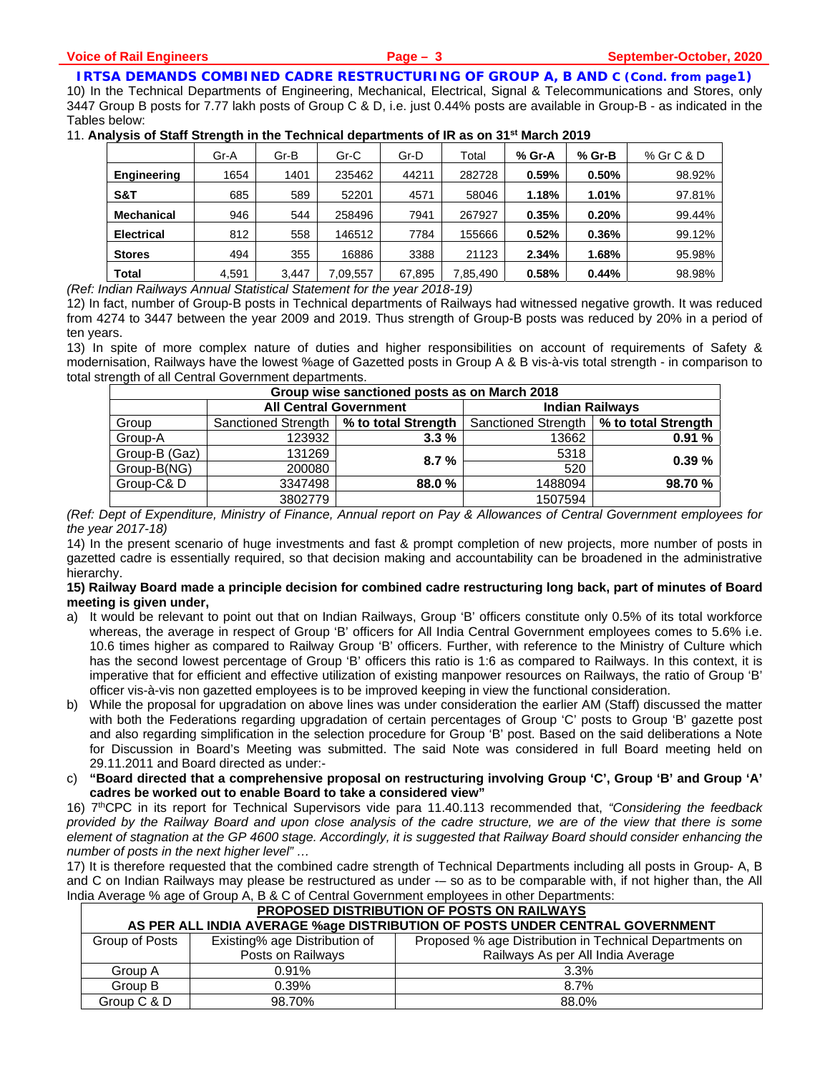# **IRTSA DEMANDS COMBINED CADRE RESTRUCTURING OF GROUP A, B AND C (Cond. from page1)**

10) In the Technical Departments of Engineering, Mechanical, Electrical, Signal & Telecommunications and Stores, only 3447 Group B posts for 7.77 lakh posts of Group C & D, i.e. just 0.44% posts are available in Group-B - as indicated in the Tables below:

11. **Analysis of Staff Strength in the Technical departments of IR as on 31st March 2019** 

| Gr-A  | Gr-B  | Gr-C     | Gr-D   | Total    | % Gr-A | $%$ Gr-B | % Gr C & D |
|-------|-------|----------|--------|----------|--------|----------|------------|
| 1654  | 1401  | 235462   | 44211  | 282728   | 0.59%  | 0.50%    | 98.92%     |
| 685   | 589   | 52201    | 4571   | 58046    | 1.18%  | 1.01%    | 97.81%     |
| 946   | 544   | 258496   | 7941   | 267927   | 0.35%  | 0.20%    | 99.44%     |
| 812   | 558   | 146512   | 7784   | 155666   | 0.52%  | 0.36%    | 99.12%     |
| 494   | 355   | 16886    | 3388   | 21123    | 2.34%  | 1.68%    | 95.98%     |
| 4,591 | 3.447 | 7,09,557 | 67,895 | 7,85,490 | 0.58%  | 0.44%    | 98.98%     |
|       |       |          |        |          |        |          |            |

*(Ref: Indian Railways Annual Statistical Statement for the year 2018-19)* 

12) In fact, number of Group-B posts in Technical departments of Railways had witnessed negative growth. It was reduced from 4274 to 3447 between the year 2009 and 2019. Thus strength of Group-B posts was reduced by 20% in a period of ten years.

13) In spite of more complex nature of duties and higher responsibilities on account of requirements of Safety & modernisation, Railways have the lowest %age of Gazetted posts in Group A & B vis-à-vis total strength - in comparison to total strength of all Central Government departments.

| Group wise sanctioned posts as on March 2018 |                                           |         |                        |                     |  |  |  |  |
|----------------------------------------------|-------------------------------------------|---------|------------------------|---------------------|--|--|--|--|
|                                              | <b>All Central Government</b>             |         | <b>Indian Railways</b> |                     |  |  |  |  |
| Group                                        | Sanctioned Strength   % to total Strength |         | Sanctioned Strength    | % to total Strength |  |  |  |  |
| Group-A                                      | 123932                                    | $3.3\%$ | 13662                  | 0.91%               |  |  |  |  |
| Group-B (Gaz)                                | 131269                                    | 8.7%    | 5318                   | 0.39%               |  |  |  |  |
| Group-B(NG)                                  | 200080                                    |         | 520                    |                     |  |  |  |  |
| Group-C&D                                    | 3347498                                   | 88.0%   | 1488094                | 98.70 %             |  |  |  |  |
|                                              | 3802779                                   |         | 1507594                |                     |  |  |  |  |

*(Ref: Dept of Expenditure, Ministry of Finance, Annual report on Pay & Allowances of Central Government employees for the year 2017-18)* 

14) In the present scenario of huge investments and fast & prompt completion of new projects, more number of posts in gazetted cadre is essentially required, so that decision making and accountability can be broadened in the administrative hierarchy.

# **15) Railway Board made a principle decision for combined cadre restructuring long back, part of minutes of Board meeting is given under,**

- a) It would be relevant to point out that on Indian Railways, Group 'B' officers constitute only 0.5% of its total workforce whereas, the average in respect of Group 'B' officers for All India Central Government employees comes to 5.6% i.e. 10.6 times higher as compared to Railway Group 'B' officers. Further, with reference to the Ministry of Culture which has the second lowest percentage of Group 'B' officers this ratio is 1:6 as compared to Railways. In this context, it is imperative that for efficient and effective utilization of existing manpower resources on Railways, the ratio of Group 'B' officer vis-à-vis non gazetted employees is to be improved keeping in view the functional consideration.
- b) While the proposal for upgradation on above lines was under consideration the earlier AM (Staff) discussed the matter with both the Federations regarding upgradation of certain percentages of Group 'C' posts to Group 'B' gazette post and also regarding simplification in the selection procedure for Group 'B' post. Based on the said deliberations a Note for Discussion in Board's Meeting was submitted. The said Note was considered in full Board meeting held on 29.11.2011 and Board directed as under:-
- c) **"Board directed that a comprehensive proposal on restructuring involving Group 'C', Group 'B' and Group 'A' cadres be worked out to enable Board to take a considered view"**

16) 7thCPC in its report for Technical Supervisors vide para 11.40.113 recommended that, *"Considering the feedback provided by the Railway Board and upon close analysis of the cadre structure, we are of the view that there is some element of stagnation at the GP 4600 stage. Accordingly, it is suggested that Railway Board should consider enhancing the number of posts in the next higher level" …*

17) It is therefore requested that the combined cadre strength of Technical Departments including all posts in Group- A, B and C on Indian Railways may please be restructured as under -- so as to be comparable with, if not higher than, the All India Average % age of Group A, B & C of Central Government employees in other Departments:

| PROPOSED DISTRIBUTION OF POSTS ON RAILWAYS                                                                 |                   |                                   |  |  |  |  |  |
|------------------------------------------------------------------------------------------------------------|-------------------|-----------------------------------|--|--|--|--|--|
| AS PER ALL INDIA AVERAGE %age DISTRIBUTION OF POSTS UNDER CENTRAL GOVERNMENT                               |                   |                                   |  |  |  |  |  |
| Group of Posts<br>Existing% age Distribution of<br>Proposed % age Distribution in Technical Departments on |                   |                                   |  |  |  |  |  |
|                                                                                                            | Posts on Railways | Railways As per All India Average |  |  |  |  |  |
| Group A                                                                                                    | 0.91%             | 3.3%                              |  |  |  |  |  |
| Group B                                                                                                    | 0.39%             | 8.7%                              |  |  |  |  |  |
| Group C & D                                                                                                | 98.70%            | 88.0%                             |  |  |  |  |  |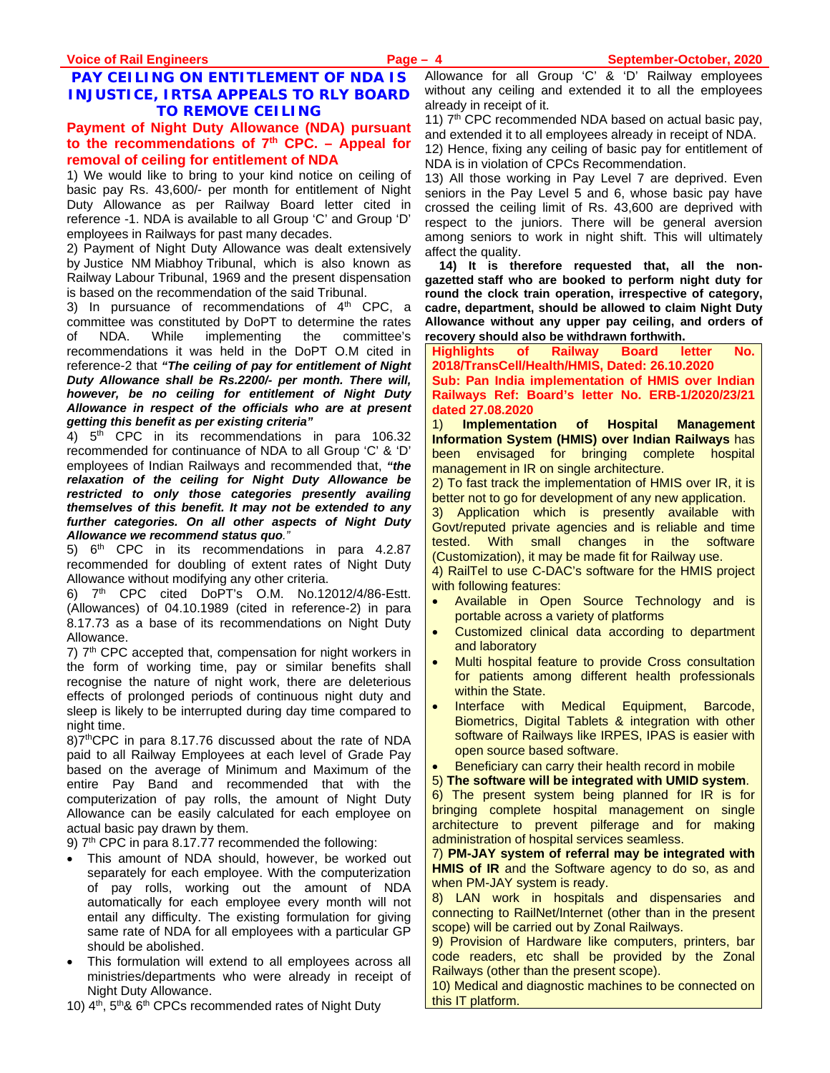# **PAY CEILING ON ENTITLEMENT OF NDA IS INJUSTICE, IRTSA APPEALS TO RLY BOARD TO REMOVE CEILING**

# **Payment of Night Duty Allowance (NDA) pursuant**  to the recommendations of  $7<sup>th</sup>$  CPC. – Appeal for **removal of ceiling for entitlement of NDA**

1) We would like to bring to your kind notice on ceiling of basic pay Rs. 43,600/- per month for entitlement of Night Duty Allowance as per Railway Board letter cited in reference -1. NDA is available to all Group 'C' and Group 'D' employees in Railways for past many decades.

2) Payment of Night Duty Allowance was dealt extensively by Justice NM Miabhoy Tribunal, which is also known as Railway Labour Tribunal, 1969 and the present dispensation is based on the recommendation of the said Tribunal.

3) In pursuance of recommendations of  $4<sup>th</sup>$  CPC, a committee was constituted by DoPT to determine the rates of NDA. While implementing the committee's recommendations it was held in the DoPT O.M cited in reference-2 that *"The ceiling of pay for entitlement of Night Duty Allowance shall be Rs.2200/- per month. There will, however, be no ceiling for entitlement of Night Duty Allowance in respect of the officials who are at present getting this benefit as per existing criteria"* 

4) 5<sup>th</sup> CPC in its recommendations in para 106.32 recommended for continuance of NDA to all Group 'C' & 'D' employees of Indian Railways and recommended that, *"the relaxation of the ceiling for Night Duty Allowance be restricted to only those categories presently availing themselves of this benefit. It may not be extended to any further categories. On all other aspects of Night Duty Allowance we recommend status quo."* 

5) 6<sup>th</sup> CPC in its recommendations in para 4.2.87 recommended for doubling of extent rates of Night Duty Allowance without modifying any other criteria.

6) 7th CPC cited DoPT's O.M. No.12012/4/86-Estt. (Allowances) of 04.10.1989 (cited in reference-2) in para 8.17.73 as a base of its recommendations on Night Duty Allowance.

 $7$ )  $7<sup>th</sup>$  CPC accepted that, compensation for night workers in the form of working time, pay or similar benefits shall recognise the nature of night work, there are deleterious effects of prolonged periods of continuous night duty and sleep is likely to be interrupted during day time compared to night time.

8)7<sup>th</sup>CPC in para 8.17.76 discussed about the rate of NDA paid to all Railway Employees at each level of Grade Pay based on the average of Minimum and Maximum of the entire Pay Band and recommended that with the computerization of pay rolls, the amount of Night Duty Allowance can be easily calculated for each employee on actual basic pay drawn by them.

9)  $7<sup>th</sup>$  CPC in para 8.17.77 recommended the following:

- This amount of NDA should, however, be worked out separately for each employee. With the computerization of pay rolls, working out the amount of NDA automatically for each employee every month will not entail any difficulty. The existing formulation for giving same rate of NDA for all employees with a particular GP should be abolished.
- This formulation will extend to all employees across all ministries/departments who were already in receipt of Night Duty Allowance.
- 10) 4<sup>th</sup>, 5<sup>th</sup>& 6<sup>th</sup> CPCs recommended rates of Night Duty

Allowance for all Group 'C' & 'D' Railway employees without any ceiling and extended it to all the employees already in receipt of it.

11) 7<sup>th</sup> CPC recommended NDA based on actual basic pay, and extended it to all employees already in receipt of NDA.

12) Hence, fixing any ceiling of basic pay for entitlement of NDA is in violation of CPCs Recommendation.

13) All those working in Pay Level 7 are deprived. Even seniors in the Pay Level 5 and 6, whose basic pay have crossed the ceiling limit of Rs. 43,600 are deprived with respect to the juniors. There will be general aversion among seniors to work in night shift. This will ultimately affect the quality.

**14) It is therefore requested that, all the nongazetted staff who are booked to perform night duty for round the clock train operation, irrespective of category, cadre, department, should be allowed to claim Night Duty Allowance without any upper pay ceiling, and orders of recovery should also be withdrawn forthwith.** 

**Highlights of Railway Board letter No. 2018/TransCell/Health/HMIS, Dated: 26.10.2020 Sub: Pan India implementation of HMIS over Indian** 

**Railways Ref: Board's letter No. ERB-1/2020/23/21 dated 27.08.2020** 

1) **Implementation of Hospital Management Information System (HMIS) over Indian Railways** has been envisaged for bringing complete hospital management in IR on single architecture.

2) To fast track the implementation of HMIS over IR, it is better not to go for development of any new application.

3) Application which is presently available with Govt/reputed private agencies and is reliable and time tested. With small changes in the software (Customization), it may be made fit for Railway use.

4) RailTel to use C-DAC's software for the HMIS project with following features:

- Available in Open Source Technology and is portable across a variety of platforms
- Customized clinical data according to department and laboratory
- Multi hospital feature to provide Cross consultation for patients among different health professionals within the State.
- Interface with Medical Equipment, Barcode, Biometrics, Digital Tablets & integration with other software of Railways like IRPES, IPAS is easier with open source based software.
- Beneficiary can carry their health record in mobile
- 5) **The software will be integrated with UMID system**.

6) The present system being planned for IR is for bringing complete hospital management on single architecture to prevent pilferage and for making administration of hospital services seamless.

7) **PM-JAY system of referral may be integrated with HMIS of IR** and the Software agency to do so, as and when PM-JAY system is ready.

8) LAN work in hospitals and dispensaries and connecting to RailNet/Internet (other than in the present scope) will be carried out by Zonal Railways.

9) Provision of Hardware like computers, printers, bar code readers, etc shall be provided by the Zonal Railways (other than the present scope).

10) Medical and diagnostic machines to be connected on this IT platform.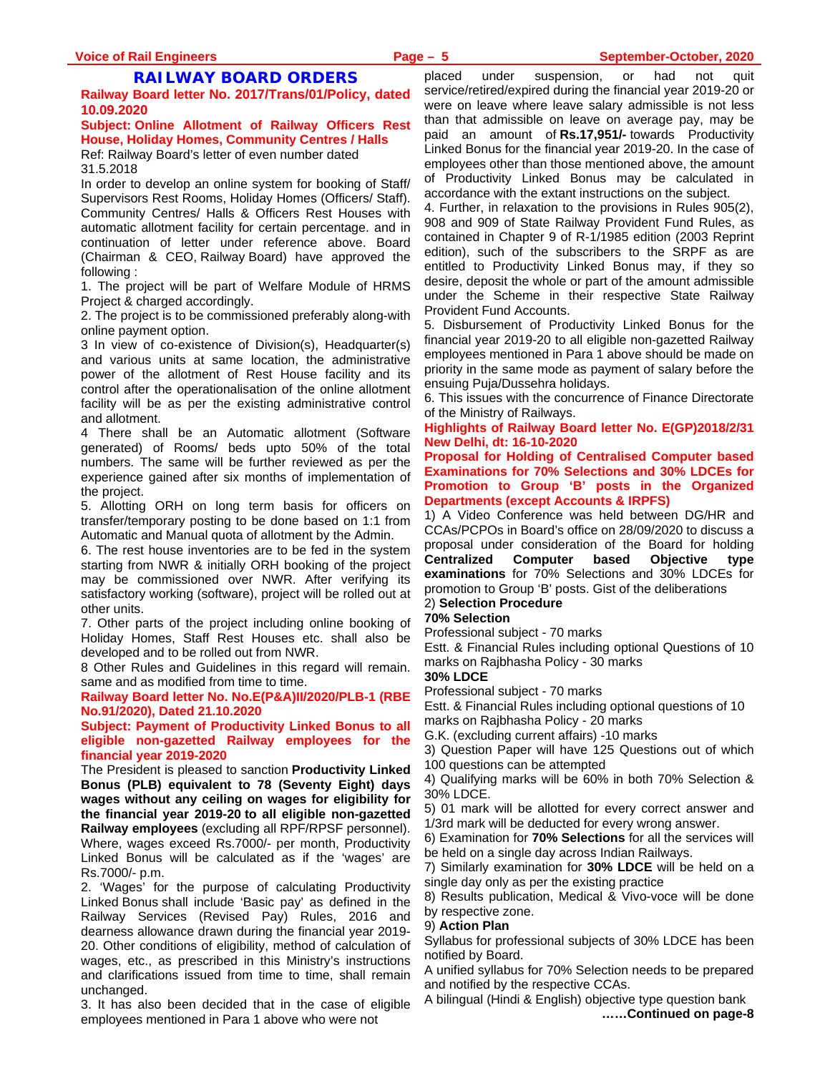# **RAILWAY BOARD ORDERS**

**Railway Board letter No. 2017/Trans/01/Policy, dated 10.09.2020**

# **Subject: Online Allotment of Railway Officers Rest House, Holiday Homes, Community Centres / Halls**

Ref: Railway Board's letter of even number dated 31.5.2018

In order to develop an online system for booking of Staff/ Supervisors Rest Rooms, Holiday Homes (Officers/ Staff). Community Centres/ Halls & Officers Rest Houses with automatic allotment facility for certain percentage. and in continuation of letter under reference above. Board (Chairman & CEO, Railway Board) have approved the following :

1. The project will be part of Welfare Module of HRMS Project & charged accordingly.

2. The project is to be commissioned preferably along-with online payment option.

3 In view of co-existence of Division(s), Headquarter(s) and various units at same location, the administrative power of the allotment of Rest House facility and its control after the operationalisation of the online allotment facility will be as per the existing administrative control and allotment.

4 There shall be an Automatic allotment (Software generated) of Rooms/ beds upto 50% of the total numbers. The same will be further reviewed as per the experience gained after six months of implementation of the project.

5. Allotting ORH on long term basis for officers on transfer/temporary posting to be done based on 1:1 from Automatic and Manual quota of allotment by the Admin.

6. The rest house inventories are to be fed in the system starting from NWR & initially ORH booking of the project may be commissioned over NWR. After verifying its satisfactory working (software), project will be rolled out at other units.

7. Other parts of the project including online booking of Holiday Homes, Staff Rest Houses etc. shall also be developed and to be rolled out from NWR.

8 Other Rules and Guidelines in this regard will remain. same and as modified from time to time.

**Railway Board letter No. No.E(P&A)II/2020/PLB-1 (RBE No.91/2020), Dated 21.10.2020** 

#### **Subject: Payment of Productivity Linked Bonus to all eligible non-gazetted Railway employees for the financial year 2019-2020**

The President is pleased to sanction **Productivity Linked Bonus (PLB) equivalent to 78 (Seventy Eight) days wages without any ceiling on wages for eligibility for the financial year 2019-20 to all eligible non-gazetted Railway employees** (excluding all RPF/RPSF personnel). Where, wages exceed Rs.7000/- per month, Productivity Linked Bonus will be calculated as if the 'wages' are Rs.7000/- p.m.

2. 'Wages' for the purpose of calculating Productivity Linked Bonus shall include 'Basic pay' as defined in the Railway Services (Revised Pay) Rules, 2016 and dearness allowance drawn during the financial year 2019- 20. Other conditions of eligibility, method of calculation of wages, etc., as prescribed in this Ministry's instructions and clarifications issued from time to time, shall remain unchanged.

3. It has also been decided that in the case of eligible employees mentioned in Para 1 above who were not

placed under suspension, or had not quit service/retired/expired during the financial year 2019-20 or were on leave where leave salary admissible is not less than that admissible on leave on average pay, may be paid an amount of **Rs.17,951/-** towards Productivity Linked Bonus for the financial year 2019-20. In the case of employees other than those mentioned above, the amount of Productivity Linked Bonus may be calculated in accordance with the extant instructions on the subject.

4. Further, in relaxation to the provisions in Rules 905(2), 908 and 909 of State Railway Provident Fund Rules, as contained in Chapter 9 of R-1/1985 edition (2003 Reprint edition), such of the subscribers to the SRPF as are entitled to Productivity Linked Bonus may, if they so desire, deposit the whole or part of the amount admissible under the Scheme in their respective State Railway Provident Fund Accounts.

5. Disbursement of Productivity Linked Bonus for the financial year 2019-20 to all eligible non-gazetted Railway employees mentioned in Para 1 above should be made on priority in the same mode as payment of salary before the ensuing Puja/Dussehra holidays.

6. This issues with the concurrence of Finance Directorate of the Ministry of Railways.

#### **Highlights of Railway Board letter No. E(GP)2018/2/31 New Delhi, dt: 16-10-2020**

**Proposal for Holding of Centralised Computer based Examinations for 70% Selections and 30% LDCEs for Promotion to Group 'B' posts in the Organized Departments (except Accounts & IRPFS)** 

1) A Video Conference was held between DG/HR and CCAs/PCPOs in Board's office on 28/09/2020 to discuss a proposal under consideration of the Board for holding **Centralized Computer based Objective type examinations** for 70% Selections and 30% LDCEs for promotion to Group 'B' posts. Gist of the deliberations 2) **Selection Procedure** 

# **70% Selection**

Professional subject - 70 marks

Estt. & Financial Rules including optional Questions of 10 marks on Rajbhasha Policy - 30 marks

**30% LDCE** 

Professional subject - 70 marks

Estt. & Financial Rules including optional questions of 10 marks on Rajbhasha Policy - 20 marks

G.K. (excluding current affairs) -10 marks

3) Question Paper will have 125 Questions out of which 100 questions can be attempted

4) Qualifying marks will be 60% in both 70% Selection & 30% LDCE.

5) 01 mark will be allotted for every correct answer and 1/3rd mark will be deducted for every wrong answer.

6) Examination for **70% Selections** for all the services will be held on a single day across Indian Railways.

7) Similarly examination for **30% LDCE** will be held on a single day only as per the existing practice

8) Results publication, Medical & Vivo-voce will be done by respective zone.

#### 9) **Action Plan**

Syllabus for professional subjects of 30% LDCE has been notified by Board.

A unified syllabus for 70% Selection needs to be prepared and notified by the respective CCAs.

A bilingual (Hindi & English) objective type question bank **……Continued on page-8**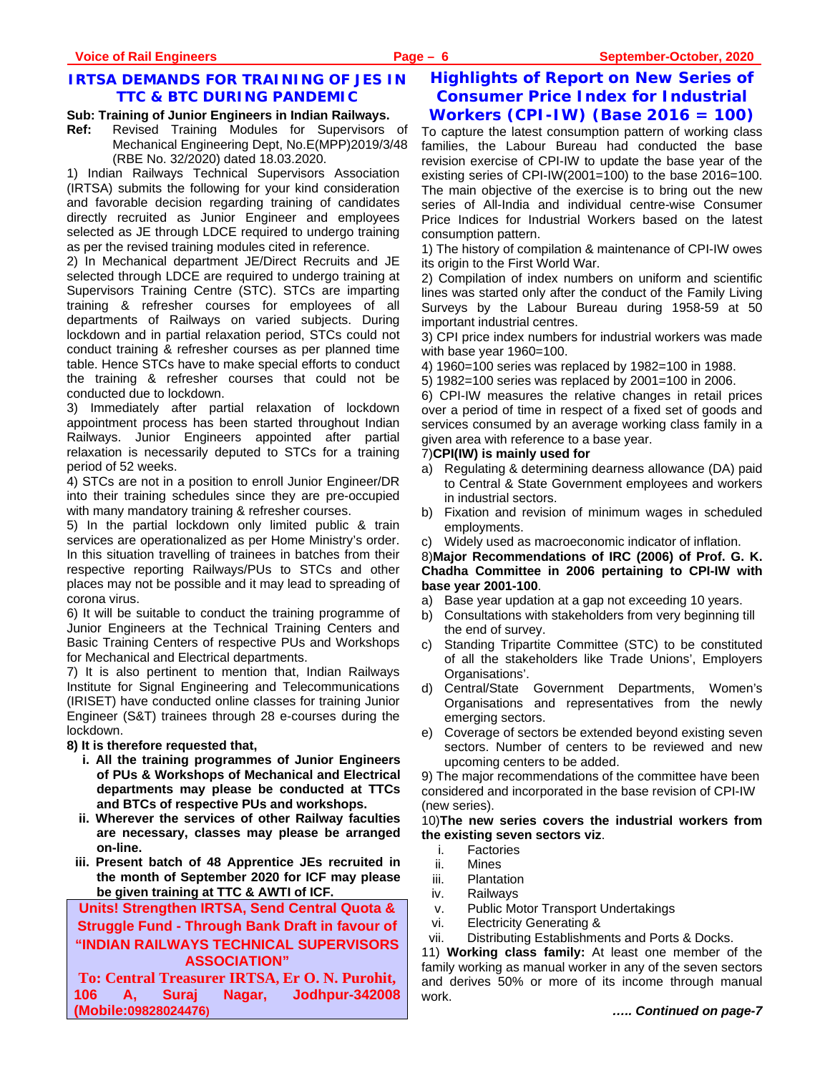# **IRTSA DEMANDS FOR TRAINING OF JES IN TTC & BTC DURING PANDEMIC**

#### **Sub: Training of Junior Engineers in Indian Railways.**

**Ref:** Revised Training Modules for Supervisors of Mechanical Engineering Dept, No.E(MPP)2019/3/48 (RBE No. 32/2020) dated 18.03.2020.

1) Indian Railways Technical Supervisors Association (IRTSA) submits the following for your kind consideration and favorable decision regarding training of candidates directly recruited as Junior Engineer and employees selected as JE through LDCE required to undergo training as per the revised training modules cited in reference.

2) In Mechanical department JE/Direct Recruits and JE selected through LDCE are required to undergo training at Supervisors Training Centre (STC). STCs are imparting training & refresher courses for employees of all departments of Railways on varied subjects. During lockdown and in partial relaxation period, STCs could not conduct training & refresher courses as per planned time table. Hence STCs have to make special efforts to conduct the training & refresher courses that could not be conducted due to lockdown.

3) Immediately after partial relaxation of lockdown appointment process has been started throughout Indian Railways. Junior Engineers appointed after partial relaxation is necessarily deputed to STCs for a training period of 52 weeks.

4) STCs are not in a position to enroll Junior Engineer/DR into their training schedules since they are pre-occupied with many mandatory training & refresher courses.

5) In the partial lockdown only limited public & train services are operationalized as per Home Ministry's order. In this situation travelling of trainees in batches from their respective reporting Railways/PUs to STCs and other places may not be possible and it may lead to spreading of corona virus.

6) It will be suitable to conduct the training programme of Junior Engineers at the Technical Training Centers and Basic Training Centers of respective PUs and Workshops for Mechanical and Electrical departments.

7) It is also pertinent to mention that, Indian Railways Institute for Signal Engineering and Telecommunications (IRISET) have conducted online classes for training Junior Engineer (S&T) trainees through 28 e-courses during the lockdown.

**8) It is therefore requested that,** 

- **i. All the training programmes of Junior Engineers of PUs & Workshops of Mechanical and Electrical departments may please be conducted at TTCs and BTCs of respective PUs and workshops.**
- **ii. Wherever the services of other Railway faculties are necessary, classes may please be arranged on-line.**
- **iii. Present batch of 48 Apprentice JEs recruited in the month of September 2020 for ICF may please be given training at TTC & AWTI of ICF.**

**Units! Strengthen IRTSA, Send Central Quota &** 

**Struggle Fund - Through Bank Draft in favour of "INDIAN RAILWAYS TECHNICAL SUPERVISORS** 

**ASSOCIATION" To: Central Treasurer IRTSA, Er O. N. Purohit, 106 A, Suraj Nagar, Jodhpur-342008 (Mobile:09828024476)**

# **Highlights of Report on New Series of Consumer Price Index for Industrial Workers (CPI-IW) (Base 2016 = 100)**

To capture the latest consumption pattern of working class families, the Labour Bureau had conducted the base revision exercise of CPI-IW to update the base year of the existing series of CPI-IW(2001=100) to the base 2016=100. The main objective of the exercise is to bring out the new series of All-India and individual centre-wise Consumer Price Indices for Industrial Workers based on the latest consumption pattern.

1) The history of compilation & maintenance of CPI-IW owes its origin to the First World War.

2) Compilation of index numbers on uniform and scientific lines was started only after the conduct of the Family Living Surveys by the Labour Bureau during 1958-59 at 50 important industrial centres.

3) CPI price index numbers for industrial workers was made with base year 1960=100.

- 4) 1960=100 series was replaced by 1982=100 in 1988.
- 5) 1982=100 series was replaced by 2001=100 in 2006.

6) CPI-IW measures the relative changes in retail prices over a period of time in respect of a fixed set of goods and services consumed by an average working class family in a given area with reference to a base year.

# 7)**CPI(IW) is mainly used for**

- a) Regulating & determining dearness allowance (DA) paid to Central & State Government employees and workers in industrial sectors.
- b) Fixation and revision of minimum wages in scheduled employments.
- c) Widely used as macroeconomic indicator of inflation.

8)**Major Recommendations of IRC (2006) of Prof. G. K. Chadha Committee in 2006 pertaining to CPI-IW with base year 2001-100**.

- a) Base year updation at a gap not exceeding 10 years.
- b) Consultations with stakeholders from very beginning till the end of survey.
- c) Standing Tripartite Committee (STC) to be constituted of all the stakeholders like Trade Unions', Employers Organisations'.
- d) Central/State Government Departments, Women's Organisations and representatives from the newly emerging sectors.
- e) Coverage of sectors be extended beyond existing seven sectors. Number of centers to be reviewed and new upcoming centers to be added.

9) The major recommendations of the committee have been considered and incorporated in the base revision of CPI-IW (new series).

10)**The new series covers the industrial workers from the existing seven sectors viz**.

- i. Factories
- ii. Mines
- iii. Plantation
- iv. Railways
- v. Public Motor Transport Undertakings
- vi. Electricity Generating &
- vii. Distributing Establishments and Ports & Docks.

11) **Working class family:** At least one member of the family working as manual worker in any of the seven sectors and derives 50% or more of its income through manual work.

*….. Continued on page-7*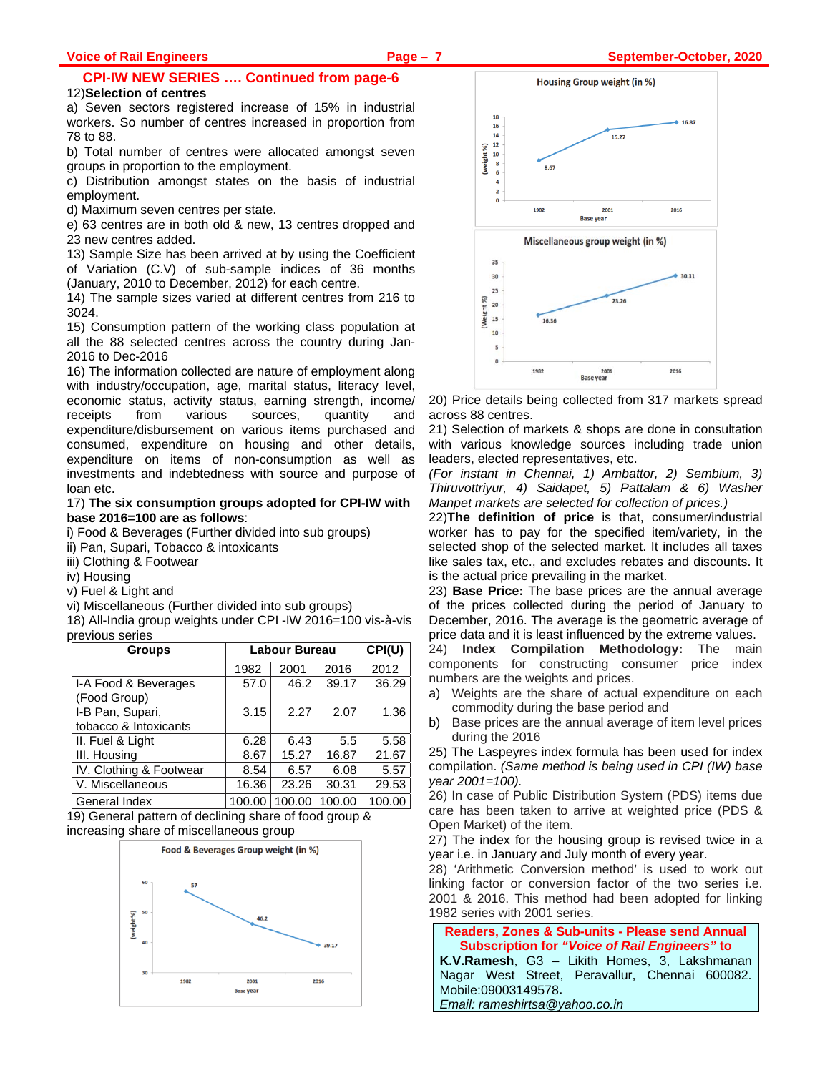# **CPI-IW NEW SERIES …. Continued from page-6**

#### 12)**Selection of centres**

a) Seven sectors registered increase of 15% in industrial workers. So number of centres increased in proportion from 78 to 88.

b) Total number of centres were allocated amongst seven groups in proportion to the employment.

c) Distribution amongst states on the basis of industrial employment.

d) Maximum seven centres per state.

e) 63 centres are in both old & new, 13 centres dropped and 23 new centres added.

13) Sample Size has been arrived at by using the Coefficient of Variation (C.V) of sub-sample indices of 36 months (January, 2010 to December, 2012) for each centre.

14) The sample sizes varied at different centres from 216 to 3024.

15) Consumption pattern of the working class population at all the 88 selected centres across the country during Jan-2016 to Dec-2016

16) The information collected are nature of employment along with industry/occupation, age, marital status, literacy level, economic status, activity status, earning strength, income/ receipts from various sources, quantity and expenditure/disbursement on various items purchased and consumed, expenditure on housing and other details, expenditure on items of non-consumption as well as investments and indebtedness with source and purpose of loan etc.

17) **The six consumption groups adopted for CPI-IW with base 2016=100 are as follows**:

i) Food & Beverages (Further divided into sub groups)

- ii) Pan, Supari, Tobacco & intoxicants
- iii) Clothing & Footwear

iv) Housing

v) Fuel & Light and

vi) Miscellaneous (Further divided into sub groups)

18) All-India group weights under CPI -IW 2016=100 vis-à-vis previous series

| <b>Groups</b>                             |        | Labour Bureau |        |        |
|-------------------------------------------|--------|---------------|--------|--------|
|                                           | 1982   | 2001          | 2016   | 2012   |
| I-A Food & Beverages<br>(Food Group)      | 57.0   | 46.2          | 39.17  | 36.29  |
| I-B Pan, Supari,<br>tobacco & Intoxicants | 3.15   | 2.27          | 2.07   | 1.36   |
| II. Fuel & Light                          | 6.28   | 6.43          | 5.5    | 5.58   |
| III. Housing                              | 8.67   | 15.27         | 16.87  | 21.67  |
| IV. Clothing & Footwear                   | 8.54   | 6.57          | 6.08   | 5.57   |
| V. Miscellaneous                          | 16.36  | 23.26         | 30.31  | 29.53  |
| General Index                             | 100.00 | 100.00        | 100.00 | 100.00 |

19) General pattern of declining share of food group & increasing share of miscellaneous group





20) Price details being collected from 317 markets spread across 88 centres.

21) Selection of markets & shops are done in consultation with various knowledge sources including trade union leaders, elected representatives, etc.

*(For instant in Chennai, 1) Ambattor, 2) Sembium, 3) Thiruvottriyur, 4) Saidapet, 5) Pattalam & 6) Washer Manpet markets are selected for collection of prices.)* 

22)**The definition of price** is that, consumer/industrial worker has to pay for the specified item/variety, in the selected shop of the selected market. It includes all taxes like sales tax, etc., and excludes rebates and discounts. It is the actual price prevailing in the market.

23) **Base Price:** The base prices are the annual average of the prices collected during the period of January to December, 2016. The average is the geometric average of price data and it is least influenced by the extreme values.

24) **Index Compilation Methodology:** The main components for constructing consumer price index numbers are the weights and prices.

- a) Weights are the share of actual expenditure on each commodity during the base period and
- b) Base prices are the annual average of item level prices during the 2016

25) The Laspeyres index formula has been used for index compilation. *(Same method is being used in CPI (IW) base year 2001=100).* 

26) In case of Public Distribution System (PDS) items due care has been taken to arrive at weighted price (PDS & Open Market) of the item.

27) The index for the housing group is revised twice in a year i.e. in January and July month of every year.

28) 'Arithmetic Conversion method' is used to work out linking factor or conversion factor of the two series i.e. 2001 & 2016. This method had been adopted for linking 1982 series with 2001 series.

**Readers, Zones & Sub-units - Please send Annual Subscription for** *"Voice of Rail Engineers"* **to K.V.Ramesh**, G3 – Likith Homes, 3, Lakshmanan Nagar West Street, Peravallur, Chennai 600082. Mobile:09003149578**.**  *Email: rameshirtsa@yahoo.co.in*